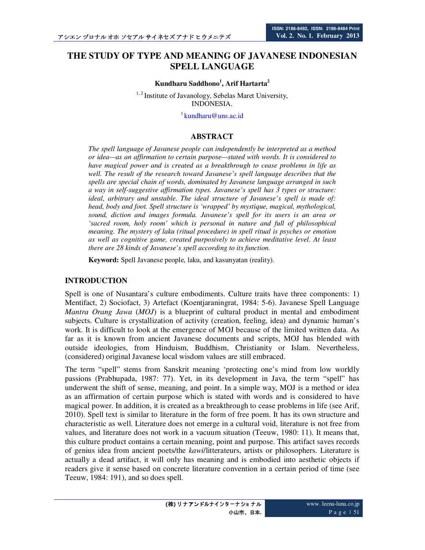# **THE STUDY OF TYPE AND MEANING OF JAVANESE INDONESIAN SPELL LANGUAGE**

#### **Kundharu Saddhono<sup>1</sup> , Arif Hartarta<sup>2</sup>**

<sup>1,2</sup> Institute of Javanology, Sebelas Maret University, INDONESIA.

 $1$ kundharu@uns.ac.id

#### **ABSTRACT**

*The spell language of Javanese people can independently be interpreted as a method or idea—as an affirmation to certain purpose—stated with words. It is considered to have magical power and is created as a breakthrough to cease problems in life as well. The result of the research toward Javanese's spell language describes that the spells are special chain of words, dominated by Javanese language arranged in such a way in self-suggestive affirmation types. Javanese's spell has 3 types or structure: ideal, arbitrary and unstable. The ideal structure of Javanese's spell is made of: head, body and foot. Spell structure is 'wrapped' by mystique, magical, mythological, sound, diction and images formula. Javanese's spell for its users is an area or 'sacred room, holy room' which is personal in nature and full of philosophical meaning. The mystery of laku (ritual procedure) in spell ritual is psyches or emotion as well as cognitive game, created purposively to achieve meditative level. At least there are 28 kinds of Javanese's spell according to its function.* 

**Keyword:** Spell Javanese people, laku, and kasunyatan (reality).

#### **INTRODUCTION**

Spell is one of Nusantara's culture embodiments. Culture traits have three components: 1) Mentifact, 2) Sociofact, 3) Artefact (Koentjaraningrat, 1984: 5-6). Javanese Spell Language *Mantra Orang Jawa* (*MOJ*) is a blueprint of cultural product in mental and embodiment subjects. Culture is crystallization of activity (creation, feeling, idea) and dynamic human's work. It is difficult to look at the emergence of MOJ because of the limited written data. As far as it is known from ancient Javanese documents and scripts, MOJ has blended with outside ideologies, from Hinduism, Buddhism, Christianity or Islam. Nevertheless, (considered) original Javanese local wisdom values are still embraced.

The term "spell" stems from Sanskrit meaning 'protecting one's mind from low worldly passions (Prabhupada, 1987: 77). Yet, in its development in Java, the term "spell" has underwent the shift of sense, meaning, and point. In a simple way, MOJ is a method or idea as an affirmation of certain purpose which is stated with words and is considered to have magical power. In addition, it is created as a breakthrough to cease problems in life (see Arif, 2010). Spell text is similar to literature in the form of free poem. It has its own structure and characteristic as well. Literature does not emerge in a cultural void, literature is not free from values, and literature does not work in a vacuum situation (Teeuw, 1980: 11). It means that, this culture product contains a certain meaning, point and purpose. This artifact saves records of genius idea from ancient poets/the *kawi*/litterateurs, artists or philosophers. Literature is actually a dead artifact, it will only has meaning and is embodied into aesthetic objects if readers give it sense based on concrete literature convention in a certain period of time (see Teeuw, 1984: 191), and so does spell.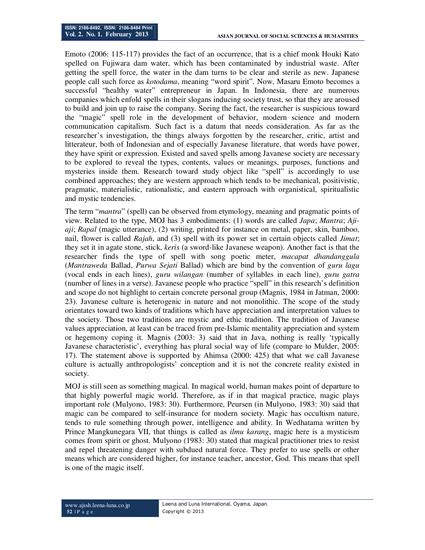Emoto (2006: 115-117) provides the fact of an occurrence, that is a chief monk Houki Kato spelled on Fujiwara dam water, which has been contaminated by industrial waste. After getting the spell force, the water in the dam turns to be clear and sterile as new. Japanese people call such force as *kotodama*, meaning "word spirit". Now, Masaru Emoto becomes a successful "healthy water" entrepreneur in Japan. In Indonesia, there are numerous companies which enfold spells in their slogans inducing society trust, so that they are aroused to build and join up to raise the company. Seeing the fact, the researcher is suspicious toward the "magic" spell role in the development of behavior, modern science and modern communication capitalism. Such fact is a datum that needs consideration. As far as the researcher's investigation, the things always forgotten by the researcher, critic, artist and litterateur, both of Indonesian and of especially Javanese literature, that words have power, they have spirit or expression. Existed and saved spells among Javanese society are necessary to be explored to reveal the types, contents, values or meanings, purposes, functions and mysteries inside them. Research toward study object like "spell" is accordingly to use combined approaches; they are western approach which tends to be mechanical, positivistic, pragmatic, materialistic, rationalistic, and eastern approach with organistical, spiritualistic and mystic tendencies.

The term "*mantra*" (spell) can be observed from etymology, meaning and pragmatic points of view. Related to the type, MOJ has 3 embodiments: (1) words are called *Japa*; *Mantra*; *Ajiaji*; *Rapal* (magic utterance), (2) writing, printed for instance on metal, paper, skin, bamboo, nail, flower is called *Rajah*, and (3) spell with its power set in certain objects called *Jimat*; they set it in agate stone, stick, *keris* (a sword-like Javanese weapon). Another fact is that the researcher finds the type of spell with song poetic meter, *macapat dhandanggula* (*Mantraweda* Ballad, *Purwa Sejati* Ballad) which are bind by the convention of *guru lagu* (vocal ends in each lines), *guru wilangan* (number of syllables in each line), *guru gatra* (number of lines in a verse). Javanese people who practice "spell" in this research's definition and scope do not highlight to certain concrete personal group (Magnis, 1984 in Jatman, 2000: 23). Javanese culture is heterogenic in nature and not monolithic. The scope of the study orientates toward two kinds of traditions which have appreciation and interpretation values to the society. Those two traditions are mystic and ethic tradition. The tradition of Javanese values appreciation, at least can be traced from pre-Islamic mentality appreciation and system or hegemony coping it. Magnis (2003: 3) said that in Java, nothing is really 'typically Javanese characteristic', everything has plural social way of life (compare to Mulder, 2005: 17). The statement above is supported by Ahimsa (2000: 425) that what we call Javanese culture is actually anthropologists' conception and it is not the concrete reality existed in society.

MOJ is still seen as something magical. In magical world, human makes point of departure to that highly powerful magic world. Therefore, as if in that magical practice, magic plays important role (Mulyono, 1983: 30). Furthermore, Peursen (in Mulyono, 1983: 30) said that magic can be compared to self-insurance for modern society. Magic has occultism nature, tends to rule something through power, intelligence and ability. In Wedhatama written by Prince Mangkunegara VII, that things is called as *ilmu karang*, magic here is a mysticism comes from spirit or ghost. Mulyono (1983: 30) stated that magical practitioner tries to resist and repel threatening danger with subdued natural force. They prefer to use spells or other means which are considered higher, for instance teacher, ancestor, God. This means that spell is one of the magic itself.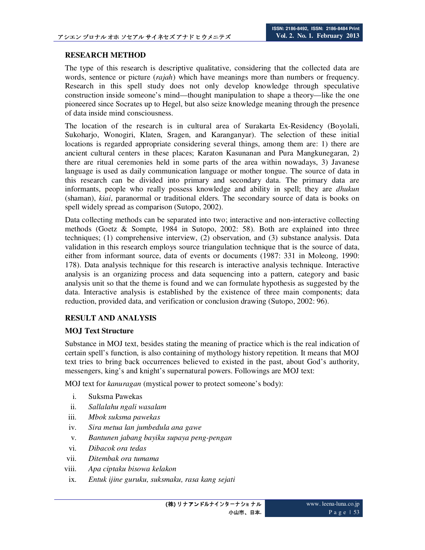## **RESEARCH METHOD**

The type of this research is descriptive qualitative, considering that the collected data are words, sentence or picture (*rajah*) which have meanings more than numbers or frequency. Research in this spell study does not only develop knowledge through speculative construction inside someone's mind—thought manipulation to shape a theory—like the one pioneered since Socrates up to Hegel, but also seize knowledge meaning through the presence of data inside mind consciousness.

The location of the research is in cultural area of Surakarta Ex-Residency (Boyolali, Sukoharjo, Wonogiri, Klaten, Sragen, and Karanganyar). The selection of these initial locations is regarded appropriate considering several things, among them are: 1) there are ancient cultural centers in these places; Karaton Kasunanan and Pura Mangkunegaran, 2) there are ritual ceremonies held in some parts of the area within nowadays, 3) Javanese language is used as daily communication language or mother tongue. The source of data in this research can be divided into primary and secondary data. The primary data are informants, people who really possess knowledge and ability in spell; they are *dhukun* (shaman), *kiai*, paranormal or traditional elders. The secondary source of data is books on spell widely spread as comparison (Sutopo, 2002).

Data collecting methods can be separated into two; interactive and non-interactive collecting methods (Goetz & Sompte, 1984 in Sutopo, 2002: 58). Both are explained into three techniques; (1) comprehensive interview, (2) observation, and (3) substance analysis. Data validation in this research employs source triangulation technique that is the source of data, either from informant source, data of events or documents (1987: 331 in Moleong, 1990: 178). Data analysis technique for this research is interactive analysis technique. Interactive analysis is an organizing process and data sequencing into a pattern, category and basic analysis unit so that the theme is found and we can formulate hypothesis as suggested by the data. Interactive analysis is established by the existence of three main components; data reduction, provided data, and verification or conclusion drawing (Sutopo, 2002: 96).

## **RESULT AND ANALYSIS**

## **MOJ Text Structure**

Substance in MOJ text, besides stating the meaning of practice which is the real indication of certain spell's function, is also containing of mythology history repetition. It means that MOJ text tries to bring back occurrences believed to existed in the past, about God's authority, messengers, king's and knight's supernatural powers. Followings are MOJ text:

MOJ text for *kanuragan* (mystical power to protect someone's body):

- i. Suksma Pawekas
- ii. *Sallalahu ngali wasalam*
- iii. *Mbok suksma pawekas*
- iv. *Sira metua lan jumbedula ana gawe*
- v. *Bantunen jabang bayiku supaya peng-pengan*
- vi. *Dibacok ora tedas*
- vii. *Ditembak ora tumama*
- viii. *Apa ciptaku bisowa kelakon*
- ix. *Entuk ijine guruku, suksmaku, rasa kang sejati*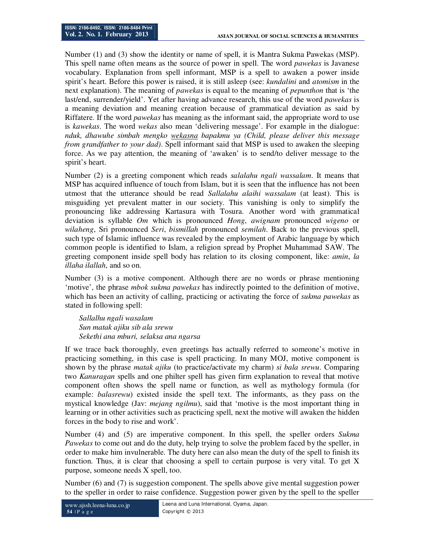Number (1) and (3) show the identity or name of spell, it is Mantra Sukma Pawekas (MSP). This spell name often means as the source of power in spell. The word *pawekas* is Javanese vocabulary. Explanation from spell informant, MSP is a spell to awaken a power inside spirit's heart. Before this power is raised, it is still asleep (see: *kundalini* and *atomism* in the next explanation). The meaning of *pawekas* is equal to the meaning of *pepunthon* that is 'the last/end, surrender/yield'. Yet after having advance research, this use of the word *pawekas* is a meaning deviation and meaning creation because of grammatical deviation as said by Riffatere. If the word *pawekas* has meaning as the informant said, the appropriate word to use is *kawekas*. The word *wekas* also mean 'delivering message'. For example in the dialogue: *nduk, dhawuhe simbah mengko wekasna bapakmu ya (Child, please deliver this message from grandfather to your dad)*. Spell informant said that MSP is used to awaken the sleeping force. As we pay attention, the meaning of 'awaken' is to send/to deliver message to the spirit's heart.

Number (2) is a greeting component which reads *salalahu ngali wassalam*. It means that MSP has acquired influence of touch from Islam, but it is seen that the influence has not been utmost that the utterance should be read *Sallalahu alaihi wassalam* (at least). This is misguiding yet prevalent matter in our society. This vanishing is only to simplify the pronouncing like addressing Kartasura with Tosura. Another word with grammatical deviation is syllable *Om* which is pronounced *Hong*, *awignam* pronounced *wigeno* or *wilaheng*, Sri pronounced *Seri*, *bismillah* pronounced *semilah*. Back to the previous spell, such type of Islamic influence was revealed by the employment of Arabic language by which common people is identified to Islam, a religion spread by Prophet Muhammad SAW. The greeting component inside spell body has relation to its closing component, like: *amin*, *la illaha ilallah*, and so on.

Number (3) is a motive component. Although there are no words or phrase mentioning 'motive', the phrase *mbok sukma pawekas* has indirectly pointed to the definition of motive, which has been an activity of calling, practicing or activating the force of *sukma pawekas* as stated in following spell:

*Sallalhu ngali wasalam Sun matak ajiku sib ala srewu Sekethi ana mburi, selaksa ana ngarsa* 

If we trace back thoroughly, even greetings has actually referred to someone's motive in practicing something, in this case is spell practicing. In many MOJ, motive component is shown by the phrase *matak ajiku* (to practice/activate my charm) *si bala srewu*. Comparing two *Kanuragan* spells and one philter spell has given firm explanation to reveal that motive component often shows the spell name or function, as well as mythology formula (for example: *balasrewu*) existed inside the spell text. The informants, as they pass on the mystical knowledge (Jav: *mejang ngilmu*), said that 'motive is the most important thing in learning or in other activities such as practicing spell, next the motive will awaken the hidden forces in the body to rise and work'.

Number (4) and (5) are imperative component. In this spell, the speller orders *Sukma Pawekas* to come out and do the duty, help trying to solve the problem faced by the speller, in order to make him invulnerable. The duty here can also mean the duty of the spell to finish its function. Thus, it is clear that choosing a spell to certain purpose is very vital. To get X purpose, someone needs X spell, too.

Number (6) and (7) is suggestion component. The spells above give mental suggestion power to the speller in order to raise confidence. Suggestion power given by the spell to the speller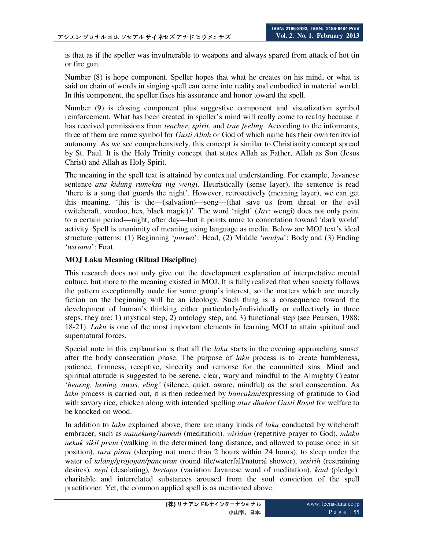is that as if the speller was invulnerable to weapons and always spared from attack of hot tin or fire gun.

Number (8) is hope component. Speller hopes that what he creates on his mind, or what is said on chain of words in singing spell can come into reality and embodied in material world. In this component, the speller fixes his assurance and honor toward the spell.

Number (9) is closing component plus suggestive component and visualization symbol reinforcement. What has been created in speller's mind will really come to reality because it has received permissions from *teacher*, *spirit*, and *true feeling*. According to the informants, three of them are name symbol for *Gusti Allah* or God of which name has their own territorial autonomy. As we see comprehensively, this concept is similar to Christianity concept spread by St. Paul. It is the Holy Trinity concept that states Allah as Father, Allah as Son (Jesus Christ) and Allah as Holy Spirit.

The meaning in the spell text is attained by contextual understanding. For example, Javanese sentence *ana kidung rumeksa ing wengi*. Heuristically (sense layer), the sentence is read 'there is a song that guards the night'. However, retroactively (meaning layer), we can get this meaning, 'this is the—(salvation)—song—(that save us from threat or the evil (witchcraft, voodoo, hex, black magic))'. The word 'night' (*Jav*: wengi) does not only point to a certain period—night, after day—but it points more to connotation toward 'dark world' activity. Spell is unanimity of meaning using language as media. Below are MOJ text's ideal structure patterns: (1) Beginning '*purwa*': Head, (2) Middle '*madya*': Body and (3) Ending '*wasana*': Foot.

#### **MOJ Laku Meaning (Ritual Discipline)**

This research does not only give out the development explanation of interpretative mental culture, but more to the meaning existed in MOJ. It is fully realized that when society follows the pattern exceptionally made for some group's interest, so the matters which are merely fiction on the beginning will be an ideology. Such thing is a consequence toward the development of human's thinking either particularly/individually or collectively in three steps, they are: 1) mystical step, 2) ontology step, and 3) functional step (see Peursen, 1988: 18-21). *Laku* is one of the most important elements in learning MOJ to attain spiritual and supernatural forces.

Special note in this explanation is that all the *laku* starts in the evening approaching sunset after the body consecration phase. The purpose of *laku* process is to create humbleness, patience, firmness, receptive, sincerity and remorse for the committed sins. Mind and spiritual attitude is suggested to be serene, clear, wary and mindful to the Almighty Creator *'heneng, hening, awas, eling'* (silence, quiet, aware, mindful) as the soul consecration. As *laku* process is carried out, it is then redeemed by *bancakan*/expressing of gratitude to God with savory rice, chicken along with intended spelling *atur dhahar Gusti Rosul* for welfare to be knocked on wood.

In addition to *laku* explained above, there are many kinds of *laku* conducted by witchcraft embracer, such as *manekung*/*samadi* (meditation)*, wiridan* (repetitive prayer to God), *mlaku nekuk sikil pisan* (walking in the determined long distance, and allowed to pause once in sit position), *turu pisan* (sleeping not more than 2 hours within 24 hours), to sleep under the water of *talang/grojogan/pancuran* (round tile/waterfall/natural shower), *sesirih* (restraining desires)*, nepi* (desolating)*, bertapa* (variation Javanese word of meditation), *kaul* (pledge)*,*  charitable and interrelated substances aroused from the soul conviction of the spell practitioner. Yet, the common applied spell is as mentioned above.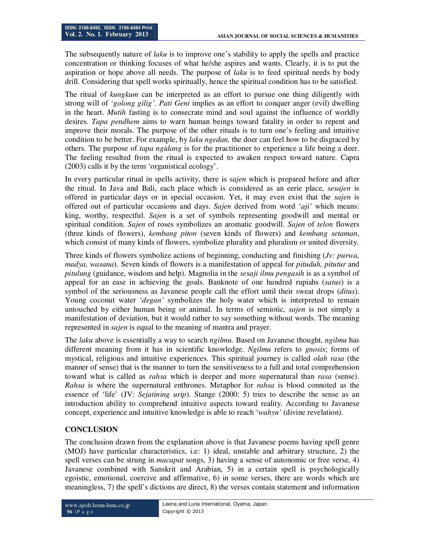The subsequently nature of *laku* is to improve one's stability to apply the spells and practice concentration or thinking focuses of what he/she aspires and wants. Clearly, it is to put the aspiration or hope above all needs. The purpose of *laku* is to feed spiritual needs by body drill. Considering that spell works spiritually, hence the spiritual condition has to be satisfied.

The ritual of *kungkum* can be interpreted as an effort to pursue one thing diligently with strong will of '*golong gilig'*. *Pati Geni* implies as an effort to conquer anger (evil) dwelling in the heart. *Mutih* fasting is to consecrate mind and soul against the influence of worldly desires. *Tapa pendhem* aims to warn human beings toward fatality in order to repent and improve their morals. The purpose of the other rituals is to turn one's feeling and intuitive condition to be better. For example, by *laku ngedan,* the doer can feel how to be disgraced by others. The purpose of *tapa ngidang* is for the practitioner to experience a life being a deer. The feeling resulted from the ritual is expected to awaken respect toward nature. Capra (2003) calls it by the term 'organistical ecology'.

In every particular ritual in spells activity, there is *sajen* which is prepared before and after the ritual. In Java and Bali, each place which is considered as an eerie place, *sesajen* is offered in particular days or in special occasion. Yet, it may even exist that the *sajen* is offered out of particular occasions and days. *Sajen* derived from word '*aji'* which means: king, worthy, respectful. *Sajen* is a set of symbols representing goodwill and mental or spiritual condition. *Sajen* of roses symbolizes an aromatic goodwill. *Sajen* of *telon* flowers (three kinds of flowers), *kembang piton* (seven kinds of flowers) and *kembang setaman*, which consist of many kinds of flowers, symbolize plurality and pluralism or united diversity.

Three kinds of flowers symbolize actions of beginning, conducting and finishing (*Jv: purwa, madya, wasana*). Seven kinds of flowers is a manifestation of appeal for *pituduh, pitutur* and *pitulung* (guidance, wisdom and help). Magnolia in the *sesaji ilmu pengasih* is as a symbol of appeal for an ease in achieving the goals. Banknote of one hundred rupiahs (*satus*) is a symbol of the seriousness as Javanese people call the effort until their sweat drops (*ditus*). Young coconut water '*degan'* symbolizes the holy water which is interpreted to remain untouched by either human being or animal. In terms of semiotic, *sajen* is not simply a manifestation of deviation, but it would rather to say something without words. The meaning represented in *sajen* is equal to the meaning of mantra and prayer.

The *laku* above is essentially a way to search *ngilmu.* Based on Javanese thought, *ngilmu* has different meaning from it has in scientific knowledge. *Ngilmu* refers to *gnosis*; forms of mystical, religious and intuitive experiences. This spiritual journey is called *olah rasa* (the manner of sense) that is the manner to turn the sensitiveness to a full and total comprehension toward what is called as *rahsa* which is deeper and more supernatural than *rasa* (sense). *Rahsa* is where the supernatural enthrones. Metaphor for *rahsa* is blood connoted as the essence of 'life' (JV: *Sejatining urip*). Stange (2000: 5) tries to describe the sense as an introduction ability to comprehend intuitive aspects toward reality. According to Javanese concept, experience and intuitive knowledge is able to reach '*wahyu'* (divine revelation).

## **CONCLUSION**

The conclusion drawn from the explanation above is that Javanese poems having spell genre (MOJ) have particular characteristics, i.e: 1) ideal, unstable and arbitrary structure, 2) the spell verses can be strung in *macapat* songs, 3) having a sense of autonomic or free verse, 4) Javanese combined with Sanskrit and Arabian, 5) in a certain spell is psychologically egoistic, emotional, coercive and affirmative, 6) in some verses, there are words which are meaningless, 7) the spell's dictions are direct, 8) the verses contain statement and information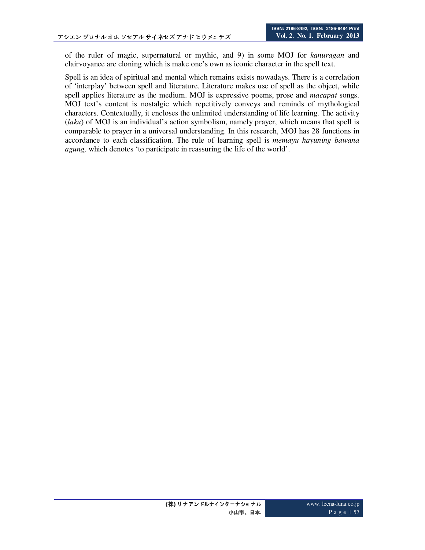of the ruler of magic, supernatural or mythic, and 9) in some MOJ for *kanuragan* and clairvoyance are cloning which is make one's own as iconic character in the spell text.

Spell is an idea of spiritual and mental which remains exists nowadays. There is a correlation of 'interplay' between spell and literature. Literature makes use of spell as the object, while spell applies literature as the medium. MOJ is expressive poems, prose and *macapat* songs. MOJ text's content is nostalgic which repetitively conveys and reminds of mythological characters. Contextually, it encloses the unlimited understanding of life learning. The activity (*laku*) of MOJ is an individual's action symbolism, namely prayer, which means that spell is comparable to prayer in a universal understanding. In this research, MOJ has 28 functions in accordance to each classification. The rule of learning spell is *memayu hayuning bawana agung,* which denotes 'to participate in reassuring the life of the world'.